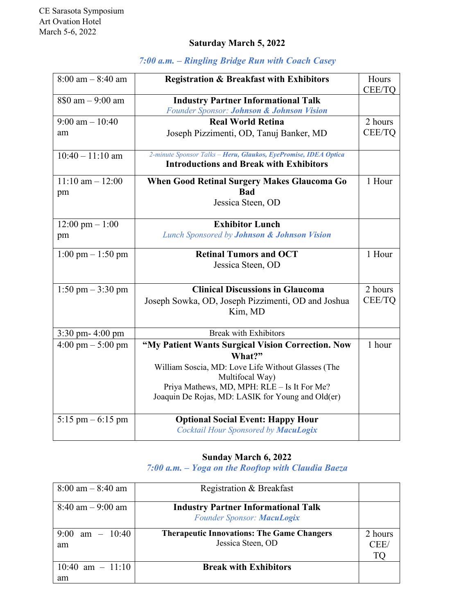## **Saturday March 5, 2022**

| $8:00 \text{ am} - 8:40 \text{ am}$ | <b>Registration &amp; Breakfast with Exhibitors</b>                                                                                                                                                                                      | Hours<br>CEE/TQ |
|-------------------------------------|------------------------------------------------------------------------------------------------------------------------------------------------------------------------------------------------------------------------------------------|-----------------|
| 8\$0 am - 9:00 am                   | <b>Industry Partner Informational Talk</b><br>Founder Sponsor: Johnson & Johnson Vision                                                                                                                                                  |                 |
| $9:00 \text{ am} - 10:40$           | <b>Real World Retina</b>                                                                                                                                                                                                                 | 2 hours         |
| am                                  | Joseph Pizzimenti, OD, Tanuj Banker, MD                                                                                                                                                                                                  | CEE/TQ          |
| $10:40 - 11:10$ am                  | 2-minute Sponsor Talks - Heru, Glaukos, EyePromise, IDEA Optica<br><b>Introductions and Break with Exhibitors</b>                                                                                                                        |                 |
| $11:10$ am $-12:00$<br>pm           | <b>When Good Retinal Surgery Makes Glaucoma Go</b><br><b>Bad</b><br>Jessica Steen, OD                                                                                                                                                    | 1 Hour          |
| $12:00 \text{ pm} - 1:00$           | <b>Exhibitor Lunch</b>                                                                                                                                                                                                                   |                 |
| pm                                  | <b>Lunch Sponsored by Johnson &amp; Johnson Vision</b>                                                                                                                                                                                   |                 |
| $1:00 \text{ pm} - 1:50 \text{ pm}$ | <b>Retinal Tumors and OCT</b><br>Jessica Steen, OD                                                                                                                                                                                       | 1 Hour          |
| 1:50 pm $-$ 3:30 pm                 | <b>Clinical Discussions in Glaucoma</b>                                                                                                                                                                                                  | 2 hours         |
|                                     | Joseph Sowka, OD, Joseph Pizzimenti, OD and Joshua<br>Kim, MD                                                                                                                                                                            | CEE/TQ          |
| $3:30$ pm- $4:00$ pm                | <b>Break with Exhibitors</b>                                                                                                                                                                                                             |                 |
| $4:00 \text{ pm} - 5:00 \text{ pm}$ | "My Patient Wants Surgical Vision Correction. Now<br>What?"<br>William Soscia, MD: Love Life Without Glasses (The<br>Multifocal Way)<br>Priya Mathews, MD, MPH: RLE - Is It For Me?<br>Joaquin De Rojas, MD: LASIK for Young and Old(er) | 1 hour          |
| 5:15 pm $-6:15$ pm                  | <b>Optional Social Event: Happy Hour</b><br>Cocktail Hour Sponsored by MacuLogix                                                                                                                                                         |                 |

## *7:00 a.m. – Ringling Bridge Run with Coach Casey*

## **Sunday March 6, 2022**

*7:00 a.m. – Yoga on the Rooftop with Claudia Baeza*

| $8:00 \text{ am} - 8:40 \text{ am}$ | Registration & Breakfast                                                 |                       |
|-------------------------------------|--------------------------------------------------------------------------|-----------------------|
| $8:40$ am $-9:00$ am                | <b>Industry Partner Informational Talk</b><br>Founder Sponsor: MacuLogix |                       |
| 9:00 am $-$ 10:40<br>am             | <b>Therapeutic Innovations: The Game Changers</b><br>Jessica Steen, OD   | 2 hours<br>CEE/<br>ľО |
| 10:40 am $- 11:10$<br>am            | <b>Break with Exhibitors</b>                                             |                       |